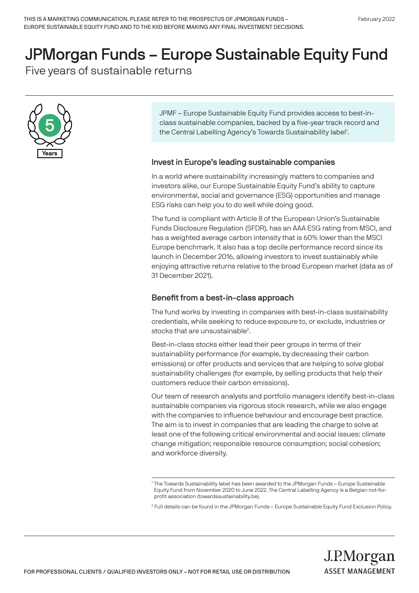# JPMorgan Funds – Europe Sustainable Equity Fund

Five years of sustainable returns



JPMF – Europe Sustainable Equity Fund provides access to best-inclass sustainable companies, backed by a five-year track record and the Central Labelling Agency's Towards Sustainability label<sup>1</sup>.

# Invest in Europe's leading sustainable companies

In a world where sustainability increasingly matters to companies and investors alike, our Europe Sustainable Equity Fund's ability to capture environmental, social and governance (ESG) opportunities and manage ESG risks can help you to do well while doing good.

The fund is compliant with Article 8 of the European Union's Sustainable Funds Disclosure Regulation (SFDR), has an AAA ESG rating from MSCI, and has a weighted average carbon intensity that is 60% lower than the MSCI Europe benchmark. It also has a top decile performance record since its launch in December 2016, allowing investors to invest sustainably while enjoying attractive returns relative to the broad European market (data as of 31 December 2021).

## Benefit from a best-in-class approach

The fund works by investing in companies with best-in-class sustainability credentials, while seeking to reduce exposure to, or exclude, industries or stocks that are unsustainable<sup>2</sup>.

Best-in-class stocks either lead their peer groups in terms of their sustainability performance (for example, by decreasing their carbon emissions) or offer products and services that are helping to solve global sustainability challenges (for example, by selling products that help their customers reduce their carbon emissions).

Our team of research analysts and portfolio managers identify best-in-class sustainable companies via rigorous stock research, while we also engage with the companies to influence behaviour and encourage best practice. The aim is to invest in companies that are leading the charge to solve at least one of the following critical environmental and social issues: climate change mitigation; responsible resource consumption; social cohesion; and workforce diversity.

<sup>1</sup> The Towards Sustainability label has been awarded to the JPMorgan Funds – Europe Sustainable Equity Fund from November 2020 to June 2022. The Central Labelling Agency is a Belgian not-forprofit association (towardssustainability.be).

<sup>2</sup> Full details can be found in the JPMorgan Funds – Europe Sustainable Equity Fund Exclusion Policy.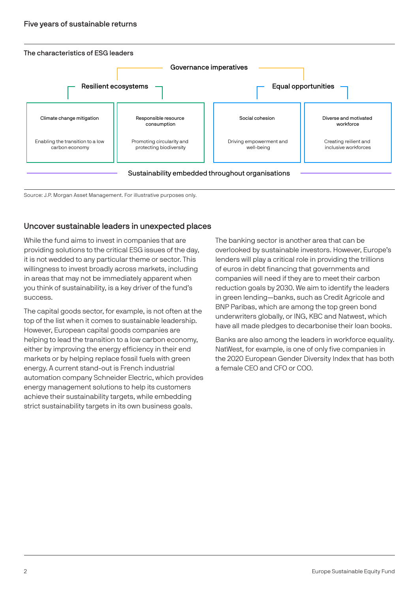

Source: J.P. Morgan Asset Management. For illustrative purposes only.

# Uncover sustainable leaders in unexpected places

While the fund aims to invest in companies that are providing solutions to the critical ESG issues of the day, it is not wedded to any particular theme or sector. This willingness to invest broadly across markets, including in areas that may not be immediately apparent when you think of sustainability, is a key driver of the fund's success.

The capital goods sector, for example, is not often at the top of the list when it comes to sustainable leadership. However, European capital goods companies are helping to lead the transition to a low carbon economy, either by improving the energy efficiency in their end markets or by helping replace fossil fuels with green energy. A current stand-out is French industrial automation company Schneider Electric, which provides energy management solutions to help its customers achieve their sustainability targets, while embedding strict sustainability targets in its own business goals.

The banking sector is another area that can be overlooked by sustainable investors. However, Europe's lenders will play a critical role in providing the trillions of euros in debt financing that governments and companies will need if they are to meet their carbon reduction goals by 2030. We aim to identify the leaders in green lending—banks, such as Credit Agricole and BNP Paribas, which are among the top green bond underwriters globally, or ING, KBC and Natwest, which have all made pledges to decarbonise their loan books.

Banks are also among the leaders in workforce equality. NatWest, for example, is one of only five companies in the 2020 European Gender Diversity Index that has both a female CEO and CFO or COO.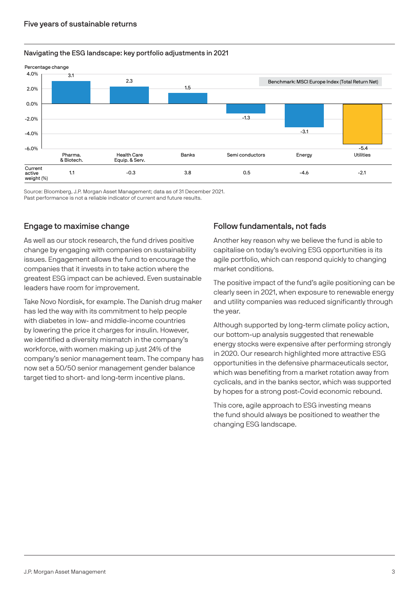### Navigating the ESG landscape: key portfolio adjustments in 2021



Source: Bloomberg, J.P. Morgan Asset Management; data as of 31 December 2021.

Past performance is not a reliable indicator of current and future results.

# Engage to maximise change

As well as our stock research, the fund drives positive change by engaging with companies on sustainability issues. Engagement allows the fund to encourage the companies that it invests in to take action where the greatest ESG impact can be achieved. Even sustainable leaders have room for improvement.

Take Novo Nordisk, for example. The Danish drug maker has led the way with its commitment to help people with diabetes in low- and middle-income countries by lowering the price it charges for insulin. However, we identified a diversity mismatch in the company's workforce, with women making up just 24% of the company's senior management team. The company has now set a 50/50 senior management gender balance target tied to short- and long-term incentive plans.

# Follow fundamentals, not fads

Another key reason why we believe the fund is able to capitalise on today's evolving ESG opportunities is its agile portfolio, which can respond quickly to changing market conditions.

The positive impact of the fund's agile positioning can be clearly seen in 2021, when exposure to renewable energy and utility companies was reduced significantly through the year.

Although supported by long-term climate policy action, our bottom-up analysis suggested that renewable energy stocks were expensive after performing strongly in 2020. Our research highlighted more attractive ESG opportunities in the defensive pharmaceuticals sector, which was benefiting from a market rotation away from cyclicals, and in the banks sector, which was supported by hopes for a strong post-Covid economic rebound.

This core, agile approach to ESG investing means the fund should always be positioned to weather the changing ESG landscape.